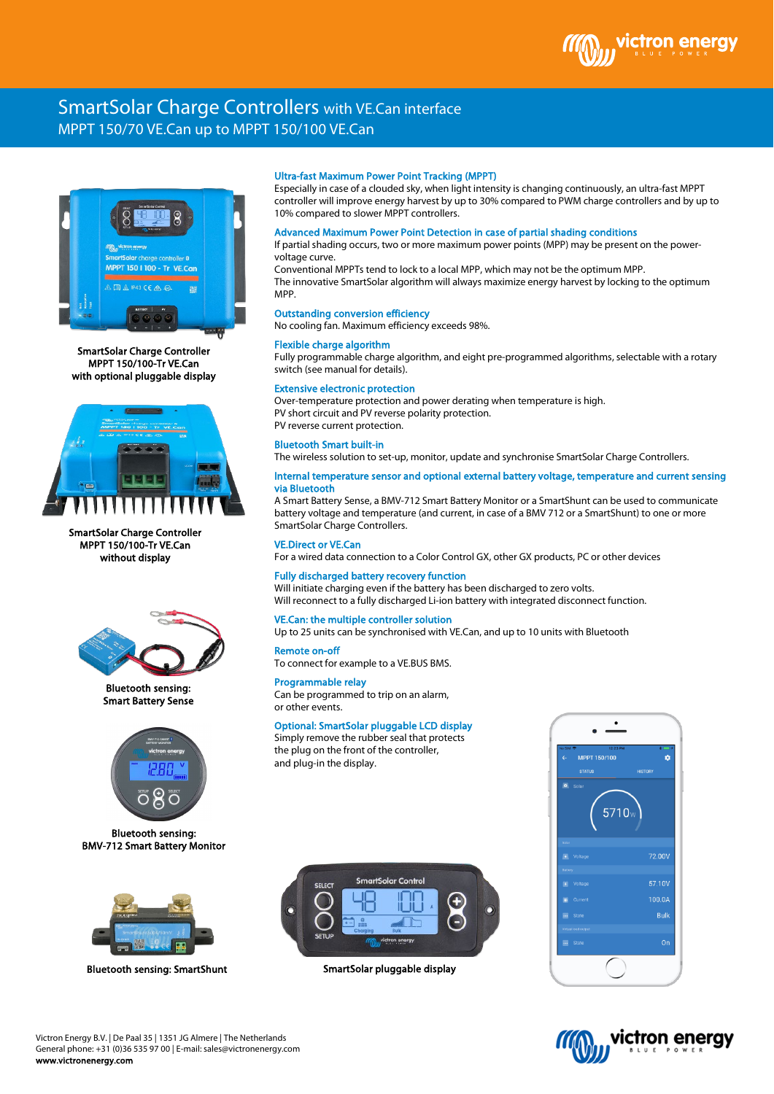# SmartSolar Charge Controllers with VE.Can interface MPPT 150/70 VE.Can up to MPPT 150/100 VE.Can



SmartSolar Charge Controller MPPT 150/100-Tr VE.Can with optional pluggable display



SmartSolar Charge Controller MPPT 150/100-Tr VE.Can without display



Bluetooth sensing: Smart Battery Sense



Bluetooth sensing: BMV-712 Smart Battery Monitor



Bluetooth sensing: SmartShunt SmartSolar pluggable display

# Ultra-fast Maximum Power Point Tracking (MPPT)

Especially in case of a clouded sky, when light intensity is changing continuously, an ultra-fast MPPT controller will improve energy harvest by up to 30% compared to PWM charge controllers and by up to 10% compared to slower MPPT controllers.

#### Advanced Maximum Power Point Detection in case of partial shading conditions

If partial shading occurs, two or more maximum power points (MPP) may be present on the powervoltage curve.

Conventional MPPTs tend to lock to a local MPP, which may not be the optimum MPP. The innovative SmartSolar algorithm will always maximize energy harvest by locking to the optimum MPP.

# Outstanding conversion efficiency

No cooling fan. Maximum efficiency exceeds 98%.

#### Flexible charge algorithm

Fully programmable charge algorithm, and eight pre-programmed algorithms, selectable with a rotary switch (see manual for details).

#### Extensive electronic protection

Over-temperature protection and power derating when temperature is high. PV short circuit and PV reverse polarity protection. PV reverse current protection.

#### Bluetooth Smart built-in

The wireless solution to set-up, monitor, update and synchronise SmartSolar Charge Controllers.

#### Internal temperature sensor and optional external battery voltage, temperature and current sensing via Bluetooth

A Smart Battery Sense, a BMV-712 Smart Battery Monitor or a SmartShunt can be used to communicate battery voltage and temperature (and current, in case of a BMV 712 or a SmartShunt) to one or more SmartSolar Charge Controllers.

#### VE.Direct or VE.Can

For a wired data connection to a Color Control GX, other GX products, PC or other devices

# Fully discharged battery recovery function

Will initiate charging even if the battery has been discharged to zero volts. Will reconnect to a fully discharged Li-ion battery with integrated disconnect function.

# VE.Can: the multiple controller solution

Up to 25 units can be synchronised with VE.Can, and up to 10 units with Bluetooth

#### Remote on-off

To connect for example to a VE.BUS BMS.

# Programmable relay

Can be programmed to trip on an alarm, or other events.

# Optional: SmartSolar pluggable LCD display

Simply remove the rubber seal that protects the plug on the front of the controller, and plug-in the display.